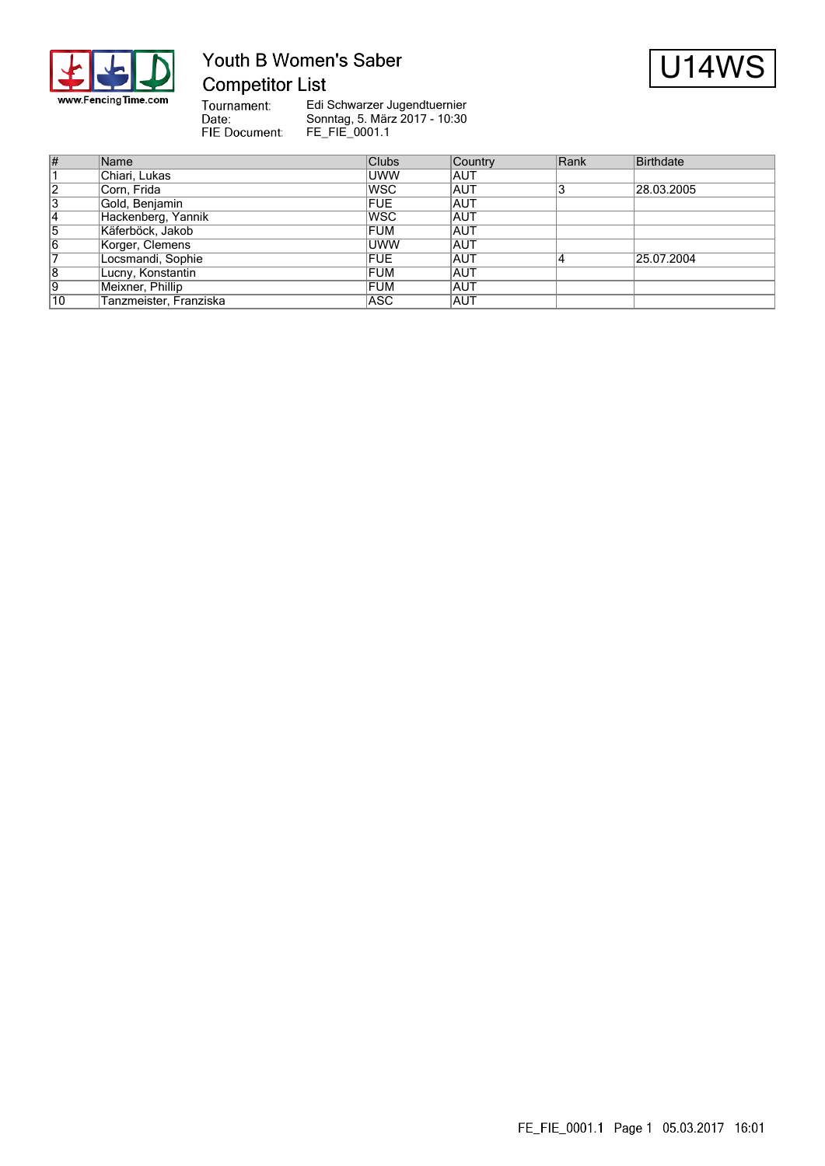

# Youth B Women's Saber **Competitor List**



Tournament:<br>Date:<br>FIE Document:

| $\overline{\#}$ | Name                   | <b>Clubs</b> | Country    | Rank | Birthdate  |
|-----------------|------------------------|--------------|------------|------|------------|
|                 | Chiari, Lukas          | <b>UWW</b>   | IAUT       |      |            |
| 12              | Corn, Frida            | <b>IWSC</b>  | <b>AUT</b> |      | 28.03.2005 |
| 3               | Gold, Benjamin         | <b>FUE</b>   | <b>AUT</b> |      |            |
| 14              | Hackenberg, Yannik     | <b>IWSC</b>  | <b>AUT</b> |      |            |
| 5               | Käferböck, Jakob       | <b>FUM</b>   | <b>AUT</b> |      |            |
| 16              | Korger, Clemens        | <b>UWW</b>   | <b>AUT</b> |      |            |
|                 | Locsmandi, Sophie      | <b>FUE</b>   | IAUT       |      | 25.07.2004 |
| 8               | Lucny, Konstantin      | <b>FUM</b>   | <b>AUT</b> |      |            |
| 19              | Meixner, Phillip       | <b>FUM</b>   | <b>AUT</b> |      |            |
| 10              | Tanzmeister, Franziska | ASC          | IAUT       |      |            |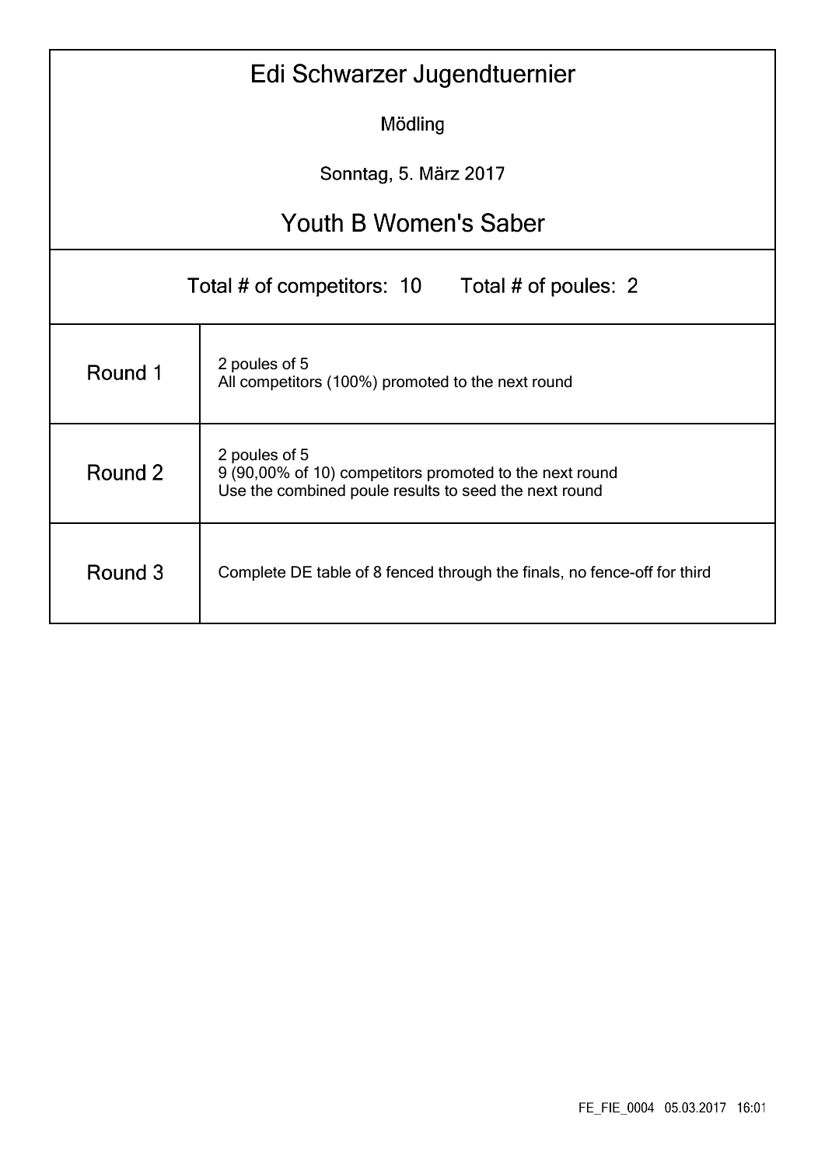|                                                                                                                                              | Edi Schwarzer Jugendtuernier                                       |  |  |  |  |  |  |  |  |  |  |
|----------------------------------------------------------------------------------------------------------------------------------------------|--------------------------------------------------------------------|--|--|--|--|--|--|--|--|--|--|
|                                                                                                                                              | Mödling                                                            |  |  |  |  |  |  |  |  |  |  |
|                                                                                                                                              | Sonntag, 5. März 2017                                              |  |  |  |  |  |  |  |  |  |  |
| <b>Youth B Women's Saber</b>                                                                                                                 |                                                                    |  |  |  |  |  |  |  |  |  |  |
| Total # of competitors: 10<br>Total # of poules: 2                                                                                           |                                                                    |  |  |  |  |  |  |  |  |  |  |
| Round 1                                                                                                                                      | 2 poules of 5<br>All competitors (100%) promoted to the next round |  |  |  |  |  |  |  |  |  |  |
| 2 poules of 5<br>Round 2<br>9 (90,00% of 10) competitors promoted to the next round<br>Use the combined poule results to seed the next round |                                                                    |  |  |  |  |  |  |  |  |  |  |
| Round 3<br>Complete DE table of 8 fenced through the finals, no fence-off for third                                                          |                                                                    |  |  |  |  |  |  |  |  |  |  |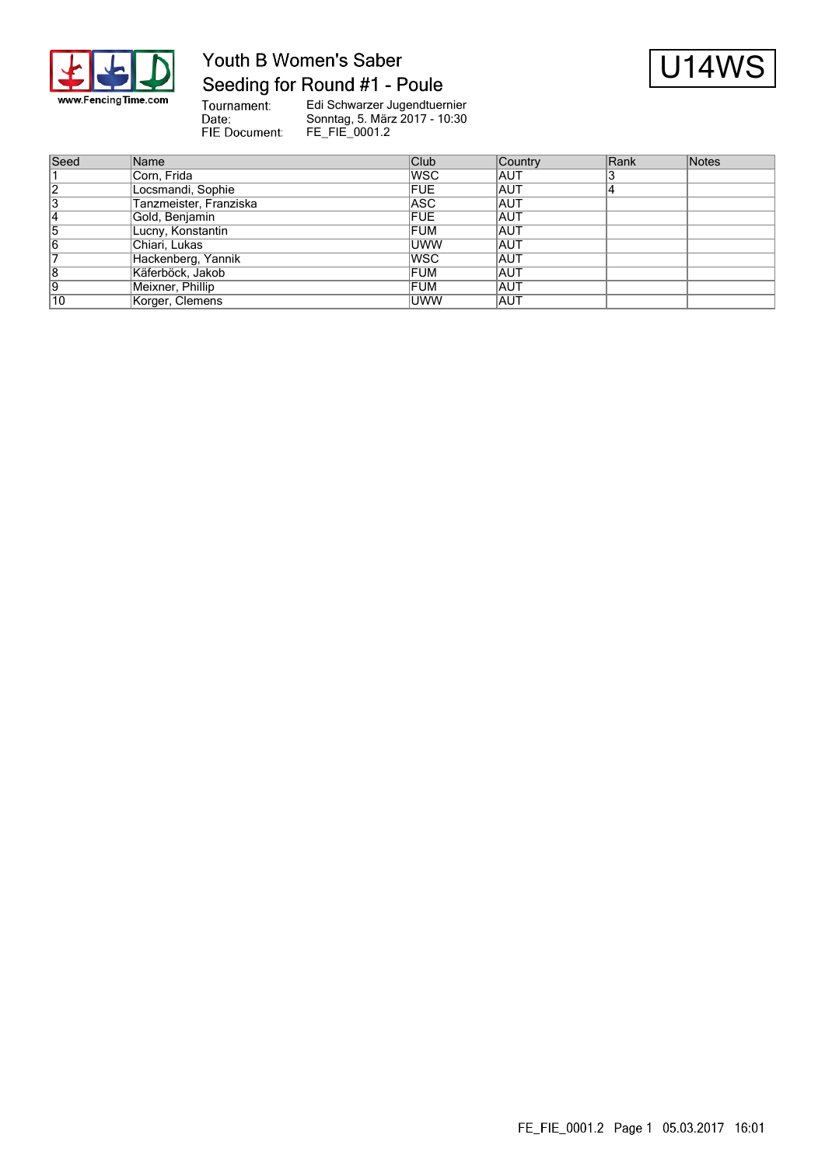

# Youth B Women's Saber Seeding for Round #1 - Poule



Tournament:<br>Date: FIE Document:

| Seed | Name                   | Club       | Country    | Rank | Notes |
|------|------------------------|------------|------------|------|-------|
|      | Corn, Frida            | lwsc       | IAUT       |      |       |
| 12   | Locsmandi, Sophie      | <b>FUE</b> | IAUT       | 14   |       |
| 13   | Tanzmeister, Franziska | ASC        | IAUT       |      |       |
|      | Gold, Benjamin         | <b>FUE</b> | <b>AUT</b> |      |       |
| 15   | Lucny, Konstantin      | <b>FUM</b> | IAUT       |      |       |
| 16   | Chiari, Lukas          | <b>UWW</b> | IAUT       |      |       |
|      | Hackenberg, Yannik     | lwsc       | IAUT       |      |       |
| 8    | Käferböck, Jakob       | <b>FUM</b> | <b>AUT</b> |      |       |
| 19   | Meixner, Phillip       | <b>FUM</b> | IAUT       |      |       |
| 10   | Korger, Clemens        | UWW        | IAUT       |      |       |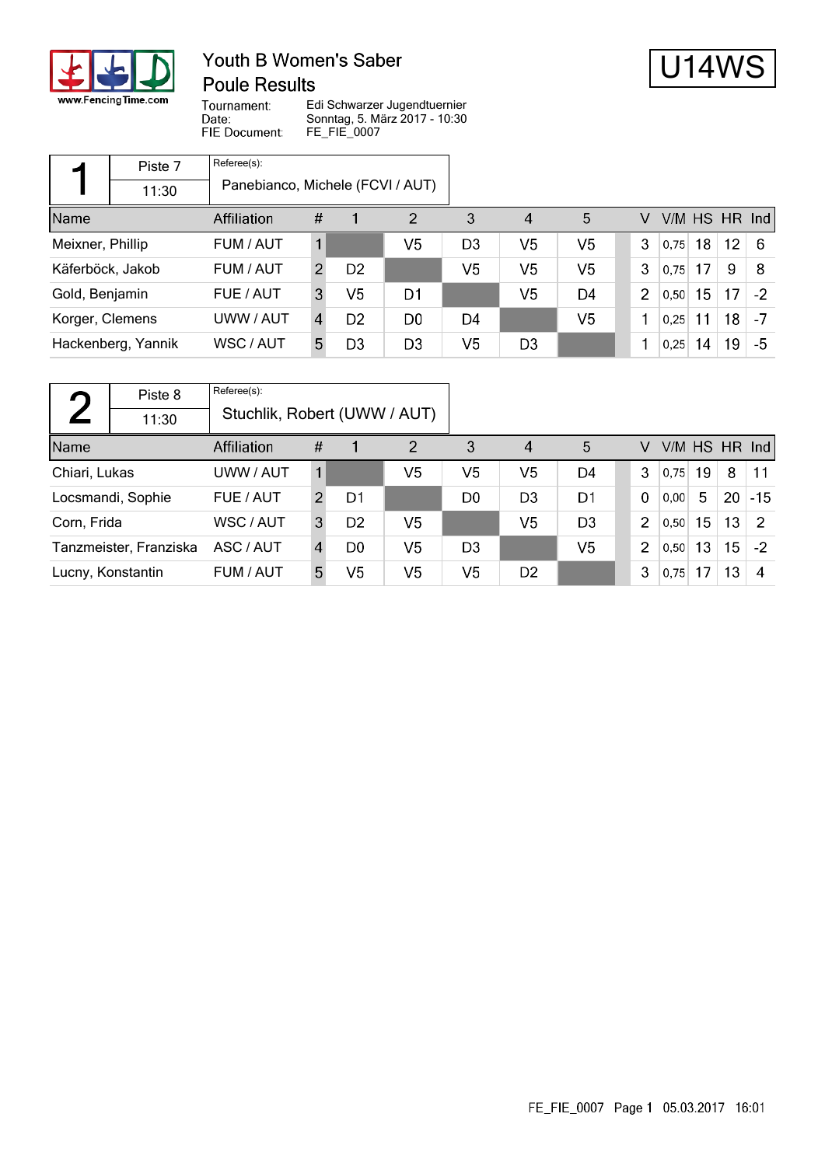

# Youth B Women's Saber **Poule Results**



Tournament: Date: FIE Document:

|                  | Piste 7            | Referee(s):                      |   |                |                |                |                |    |                |      |    |    |               |
|------------------|--------------------|----------------------------------|---|----------------|----------------|----------------|----------------|----|----------------|------|----|----|---------------|
|                  | 11:30              | Panebianco, Michele (FCVI / AUT) |   |                |                |                |                |    |                |      |    |    |               |
| Name             |                    | Affiliation                      | # |                | 2              | 3              | 4              | 5  | V              |      |    |    | V/M HS HR Ind |
| Meixner, Phillip |                    | FUM / AUT                        |   |                | V5             | D <sub>3</sub> | V5             | V5 | 3              | 0.75 | 18 | 12 | -6            |
| Käferböck, Jakob |                    | FUM / AUT                        | 2 | D <sub>2</sub> |                | V5             | V5             | V5 | 3              | 0.75 | 17 | 9  | 8             |
| Gold, Benjamin   |                    | FUE / AUT                        | 3 | V5             | D1             |                | V5             | D4 | $\overline{2}$ | 0,50 | 15 | 17 | $-2$          |
| Korger, Clemens  |                    | UWW / AUT                        | 4 | D <sub>2</sub> | D <sub>0</sub> | D4             |                | V5 |                | 0.25 | 11 | 18 | -7            |
|                  | Hackenberg, Yannik | WSC / AUT                        | 5 | D3             | D <sub>3</sub> | V5             | D <sub>3</sub> |    |                | 0,25 | 14 | 19 | -5            |

| $\Gamma$                   | Piste 8                               | Referee(s): |               |                |                |    |                |                |                |      |    |                 |                 |
|----------------------------|---------------------------------------|-------------|---------------|----------------|----------------|----|----------------|----------------|----------------|------|----|-----------------|-----------------|
|                            | Stuchlik, Robert (UWW / AUT)<br>11:30 |             |               |                |                |    |                |                |                |      |    |                 |                 |
| Name                       | Affiliation                           |             |               |                | $\overline{2}$ | 3  | $\overline{4}$ | 5              | V              |      |    |                 | $V/M$ HS HR Ind |
| Chiari, Lukas<br>UWW / AUT |                                       |             |               | V5             | V5             | V5 | D4             | 3              | 0.75           | 19   | 8  | 11              |                 |
|                            | Locsmandi, Sophie                     | FUE / AUT   | $\mathcal{P}$ | D1             |                | D0 | D <sub>3</sub> | D1             | $\mathbf 0$    | 0.00 | 5  | 20              | $ -15 $         |
| Corn, Frida                |                                       | WSC / AUT   | 3             | D <sub>2</sub> | V <sub>5</sub> |    | V5             | D <sub>3</sub> | 2              | 0.50 | 15 | 13              | -2              |
| Tanzmeister, Franziska     |                                       | ASC / AUT   | 4             | D <sub>0</sub> | V5             | D3 |                | V <sub>5</sub> | $\overline{2}$ | 0,50 | 13 | 15 <sub>1</sub> | $-2$            |
| Lucny, Konstantin          |                                       | FUM / AUT   | 5             | V <sub>5</sub> | V5             | V5 | D <sub>2</sub> |                | 3              | 0.75 | 17 | 13              | 4               |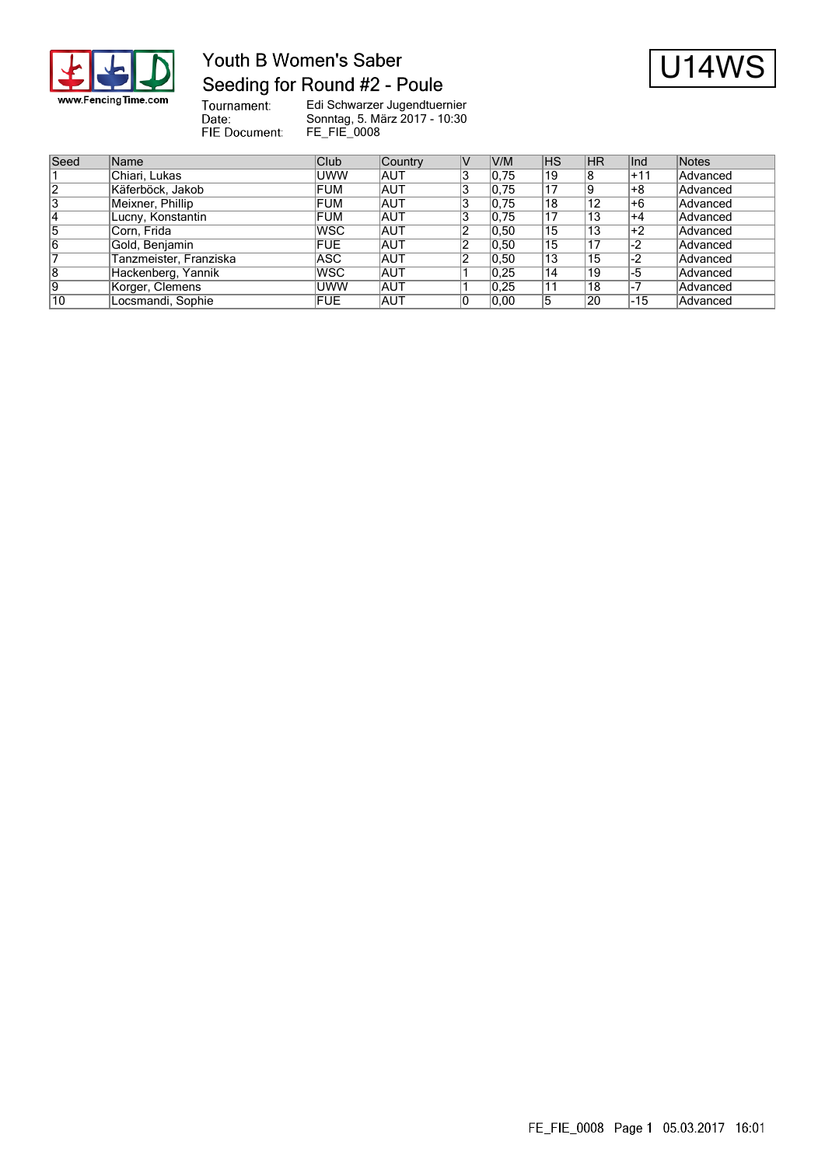

# Youth B Women's Saber Seeding for Round #2 - Poule



Tournament:<br>Date: FIE Document:

| Seed           | Name                   | Club       | Country    | V/M   | <b>IHS</b> | <b>HR</b> | lInd          | Notes    |
|----------------|------------------------|------------|------------|-------|------------|-----------|---------------|----------|
|                | Chiari, Lukas          | <b>UWW</b> | IAUT       | 0,75  | 19         | 8         | +11           | Advanced |
| $\overline{2}$ | Käferböck, Jakob       | FUM        | <b>AUT</b> | 0,75  | 17         | 19        | +8            | Advanced |
| 3              | Meixner, Phillip       | <b>FUM</b> | <b>AUT</b> | 0,75  | 18         | 12        | l+6           | Advanced |
| 4              | Lucny, Konstantin      | FUM        | <b>AUT</b> | 0,75  | 17         | 13        | +4            | Advanced |
| 5              | Corn, Frida            | <b>WSC</b> | <b>AUT</b> | 0, 50 | 15         | 13        | ∣+2           | Advanced |
| 16             | Gold, Benjamin         | <b>FUE</b> | <b>AUT</b> | 0, 50 | 15         | 17        | $\mathsf{L2}$ | Advanced |
|                | Tanzmeister, Franziska | ASC.       | <b>AUT</b> | 0, 50 | 13         | 15        | -2            | Advanced |
| $\overline{8}$ | Hackenberg, Yannik     | <b>WSC</b> | <b>AUT</b> | 0.25  | 14         | 19        | -5            | Advanced |
| 19             | Korger, Clemens        | <b>UWW</b> | <b>AUT</b> | 0,25  | 11         | 18        | -7            | Advanced |
| 10             | Locsmandi, Sophie      | <b>FUE</b> | <b>AUT</b> | 0.00  |            | 20        | -15           | Advanced |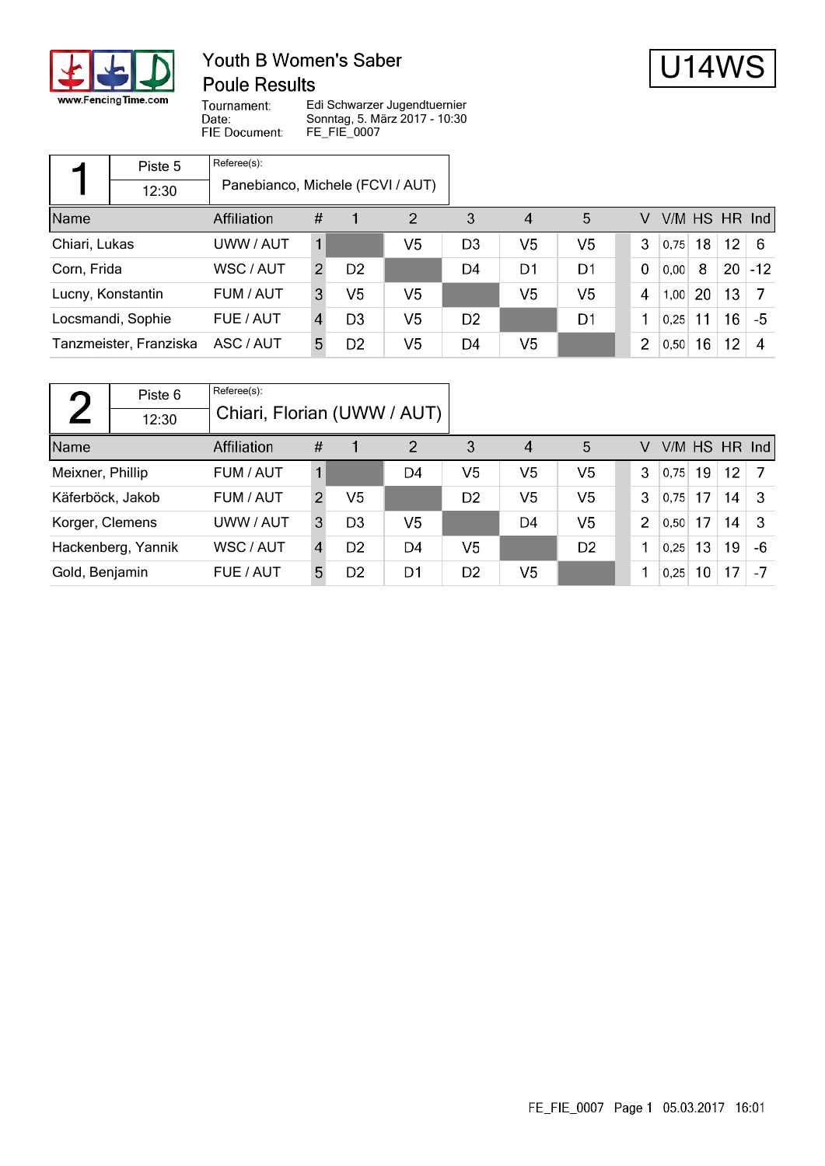

### Youth B Women's Saber **Poule Results**



Tournament: Date: FIE Document:

|                   | Piste 5                          | Referee(s): |                |                |                |                |                |                |                |      |    |                 |               |
|-------------------|----------------------------------|-------------|----------------|----------------|----------------|----------------|----------------|----------------|----------------|------|----|-----------------|---------------|
|                   | Panebianco, Michele (FCVI / AUT) |             |                |                |                |                |                |                |                |      |    |                 |               |
| Name              |                                  | Affiliation | #              |                | $\overline{2}$ | 3              | $\overline{4}$ | 5              | V              |      |    |                 | V/M HS HR Ind |
| Chiari, Lukas     |                                  | UWW / AUT   |                |                | V5             | D <sub>3</sub> | V5             | V5             | 3              | 0.75 | 18 | 12 <sub>2</sub> | - 6           |
| Corn, Frida       |                                  | WSC / AUT   | $\overline{2}$ | D <sub>2</sub> |                | D4             | D1             | D <sub>1</sub> | 0              | 0,00 | 8  | 20              | $-12$         |
| Lucny, Konstantin |                                  | FUM / AUT   | 3              | V5             | V5             |                | V <sub>5</sub> | V <sub>5</sub> | 4              | 1,00 | 20 | 13              |               |
| Locsmandi, Sophie |                                  | FUE / AUT   | 4              | D <sub>3</sub> | V <sub>5</sub> | D <sub>2</sub> |                | D <sub>1</sub> |                | 0,25 | 11 | 16              | -5            |
|                   | Tanzmeister, Franziska           | ASC / AUT   | 5              | D <sub>2</sub> | V <sub>5</sub> | D4             | V <sub>5</sub> |                | $\overline{2}$ | 0,50 | 16 | 12 <sub>2</sub> | 4             |

|                               | Piste 6     | Referee(s):                 |                |                |                |                |    |                |                |      |    |                 |    |
|-------------------------------|-------------|-----------------------------|----------------|----------------|----------------|----------------|----|----------------|----------------|------|----|-----------------|----|
|                               | 12:30       | Chiari, Florian (UWW / AUT) |                |                |                |                |    |                |                |      |    |                 |    |
| Name                          | Affiliation |                             |                |                | $\overline{2}$ | 3              | 4  | 5              | V              |      |    | $V/M$ HS HR Ind |    |
| Meixner, Phillip<br>FUM / AUT |             |                             |                |                | D4             | V5             | V5 | V <sub>5</sub> | 3              | 0.75 | 19 | 12 <sup>°</sup> |    |
| Käferböck, Jakob              |             | FUM / AUT                   |                | V <sub>5</sub> |                | D <sub>2</sub> | V5 | V <sub>5</sub> | 3              | 0.75 | 17 | 14              | -3 |
| Korger, Clemens               |             | UWW / AUT                   | 3              | D <sub>3</sub> | V5             |                | D4 | V <sub>5</sub> | $\overline{2}$ | 0.50 | 17 | 14              | -3 |
| Hackenberg, Yannik            |             | WSC / AUT                   |                | D <sub>2</sub> | D4             | V <sub>5</sub> |    | D <sub>2</sub> |                | 0,25 | 13 | 19              | -6 |
| Gold, Benjamin<br>FUE / AUT   |             | 5                           | D <sub>2</sub> | D1             | D <sub>2</sub> | V <sub>5</sub> |    |                | 0,25           | 10   | 17 |                 |    |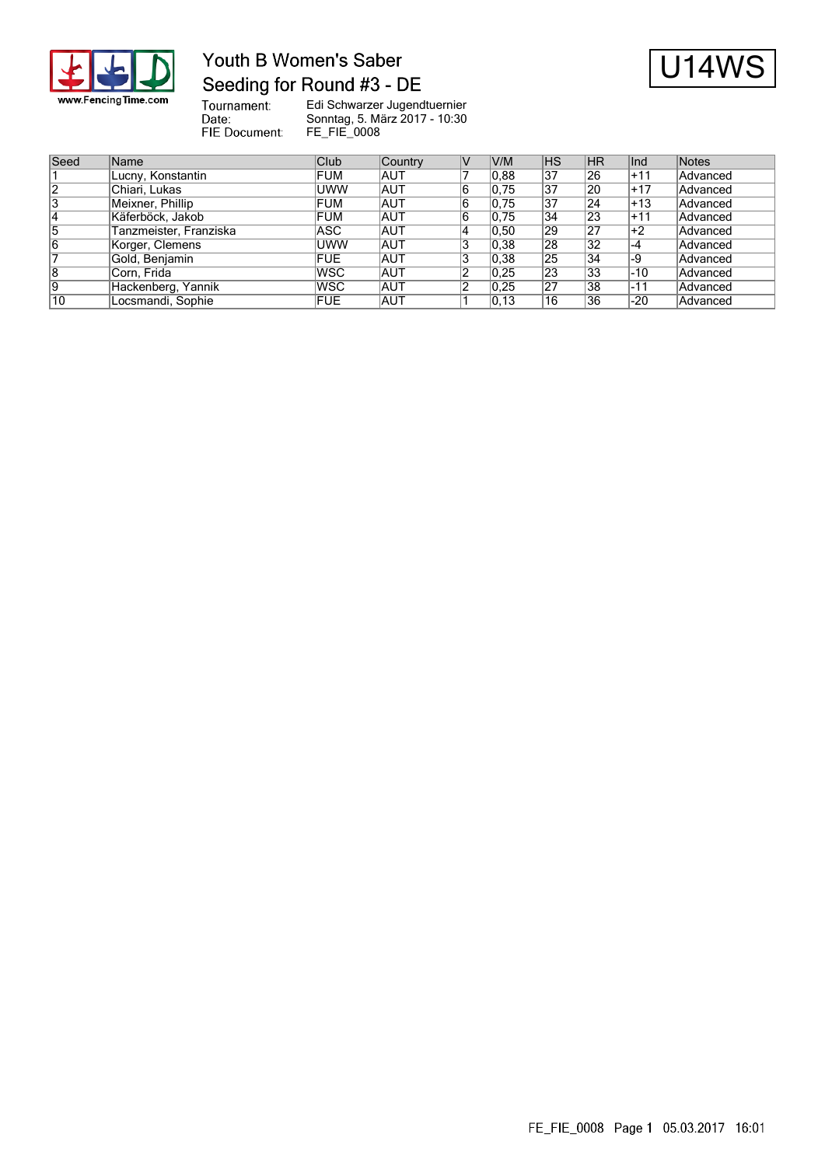

# Youth B Women's Saber Seeding for Round #3 - DE



Tournament:<br>Date: FIE Document:

| Seed | Name                   | Club       | Country    | V/M   | <b>IHS</b>      | <b>HR</b>       | lInd  | Notes    |
|------|------------------------|------------|------------|-------|-----------------|-----------------|-------|----------|
|      | Lucny, Konstantin      | <b>FUM</b> | <b>AUT</b> | 0.88  | $\overline{37}$ | 26              | $+11$ | Advanced |
| 12   | Chiari, Lukas          | <b>UWW</b> | <b>AUT</b> | 0,75  | 37              | 20              | $+17$ | Advanced |
| 3    | Meixner, Phillip       | <b>FUM</b> | <b>AUT</b> | 0,75  | 37              | 24              | l+13  | Advanced |
| 14   | Käferböck, Jakob       | FUM        | <b>AUT</b> | 0,75  | 34              | 23              | +11   | Advanced |
| 15   | Tanzmeister, Franziska | ASC        | <b>AUT</b> | 0, 50 | 29              | 27              | ∣+2   | Advanced |
| 16   | Korger, Clemens        | <b>UWW</b> | <b>AUT</b> | 0,38  | 28              | 32              | ∣-4   | Advanced |
|      | Gold, Benjamin         | FUE.       | <b>AUT</b> | 0,38  | 25              | 34              | $-9$  | Advanced |
| 8    | Corn, Frida            | <b>WSC</b> | <b>AUT</b> | 0.25  | $\overline{23}$ | 33              | -10   | Advanced |
| 9    | Hackenberg, Yannik     | <b>WSC</b> | <b>AUT</b> | 0,25  | $\overline{27}$ | $\overline{38}$ | $-11$ | Advanced |
| 10   | Locsmandi, Sophie      | <b>FUE</b> | <b>AUT</b> | 0, 13 | 16              | 36              | $-20$ | Advanced |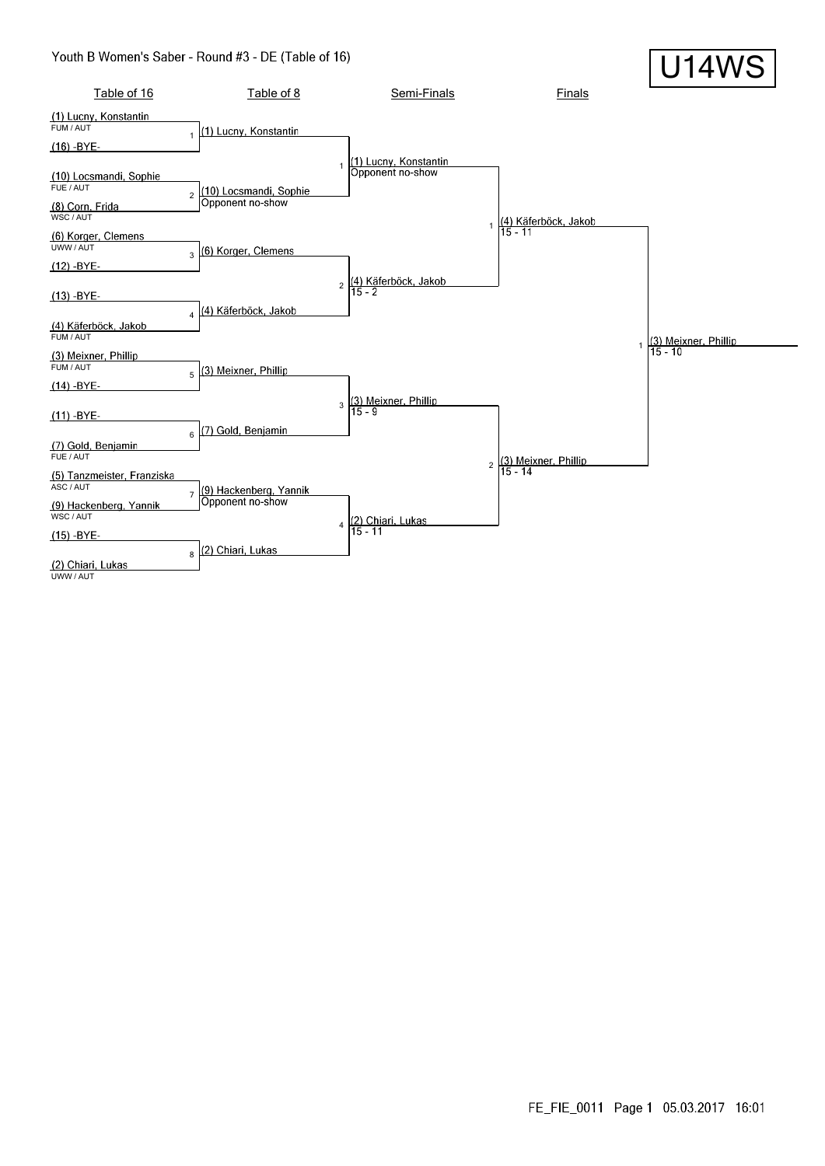#### Youth B Women's Saber - Round #3 - DE (Table of 16)

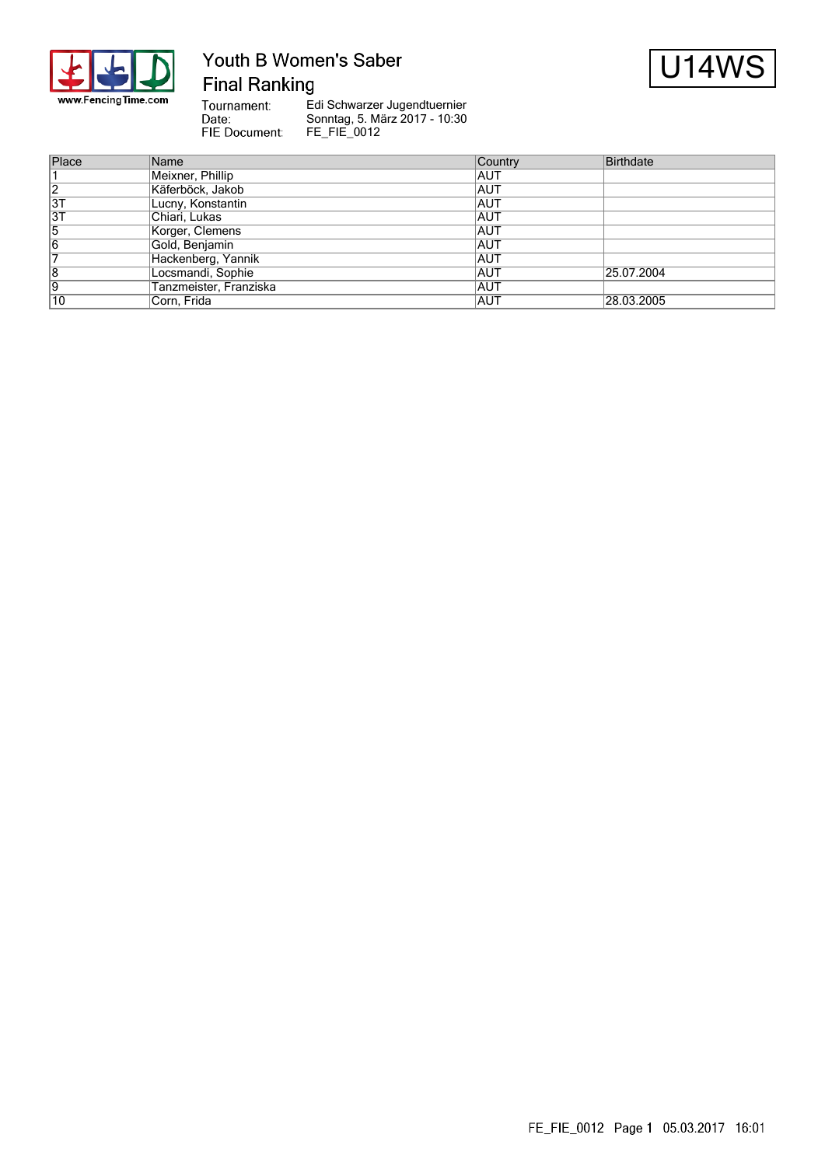

# Youth B Women's Saber **Final Ranking**



Tournament: Date: FIE Document:

| Place           | Name                   | Country    | Birthdate  |
|-----------------|------------------------|------------|------------|
|                 | Meixner, Phillip       | IAUT       |            |
| $\overline{2}$  | Käferböck, Jakob       | <b>AUT</b> |            |
| 3T              | Lucny, Konstantin      | <b>AUT</b> |            |
| $\overline{3T}$ | Chiari, Lukas          | <b>AUT</b> |            |
| 5               | Korger, Clemens        | <b>AUT</b> |            |
| 16              | Gold, Benjamin         | <b>AUT</b> |            |
|                 | Hackenberg, Yannik     | <b>AUT</b> |            |
| 8               | Locsmandi, Sophie      | <b>AUT</b> | 25.07.2004 |
| 19              | Tanzmeister, Franziska | <b>AUT</b> |            |
| 10              | Corn, Frida            | IAUT       | 28.03.2005 |